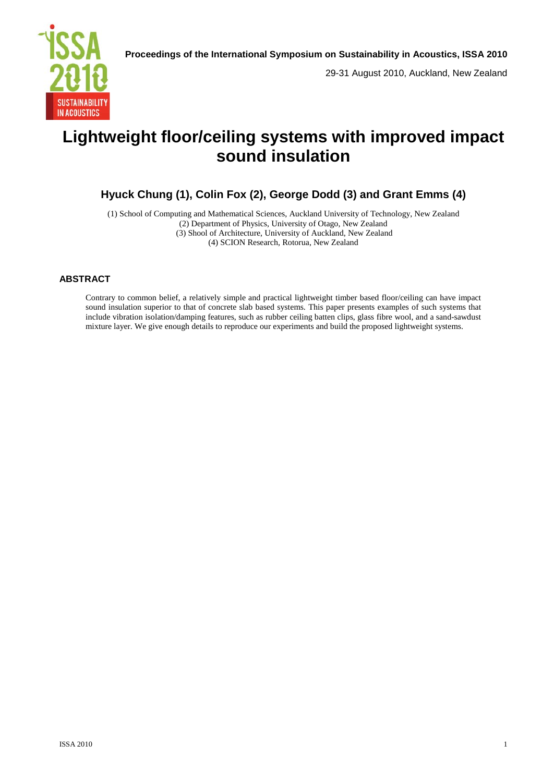29-31 August 2010, Auckland, New Zealand

# **Lightweight floor/ceiling systems with improved impact sound insulation**

# **Hyuck Chung (1), Colin Fox (2), George Dodd (3) and Grant Emms (4)**

(1) School of Computing and Mathematical Sciences, Auckland University of Technology, New Zealand (2) Department of Physics, University of Otago, New Zealand (3) Shool of Architecture, University of Auckland, New Zealand (4) SCION Research, Rotorua, New Zealand

# **ABSTRACT**

Contrary to common belief, a relatively simple and practical lightweight timber based floor/ceiling can have impact sound insulation superior to that of concrete slab based systems. This paper presents examples of such systems that include vibration isolation/damping features, such as rubber ceiling batten clips, glass fibre wool, and a sand-sawdust mixture layer. We give enough details to reproduce our experiments and build the proposed lightweight systems.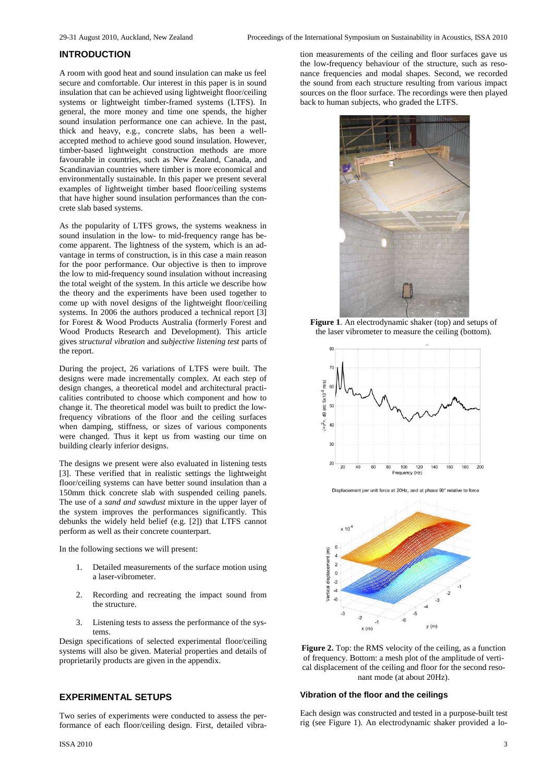# **INTRODUCTION**

A room with good heat and sound insulation can make us feel secure and comfortable. Our interest in this paper is in sound insulation that can be achieved using lightweight floor/ceiling systems or lightweight timber-framed systems (LTFS). In general, the more money and time one spends, the higher sound insulation performance one can achieve. In the past, thick and heavy, e.g., concrete slabs, has been a wellaccepted method to achieve good sound insulation. However, timber-based lightweight construction methods are more favourable in countries, such as New Zealand, Canada, and Scandinavian countries where timber is more economical and environmentally sustainable. In this paper we present several examples of lightweight timber based floor/ceiling systems that have higher sound insulation performances than the concrete slab based systems.

As the popularity of LTFS grows, the systems weakness in sound insulation in the low- to mid-frequency range has become apparent. The lightness of the system, which is an advantage in terms of construction, is in this case a main reason for the poor performance. Our objective is then to improve the low to mid-frequency sound insulation without increasing the total weight of the system. In this article we describe how the theory and the experiments have been used together to come up with novel designs of the lightweight floor/ceiling systems. In 2006 the authors produced a technical report [3] for Forest & Wood Products Australia (formerly Forest and Wood Products Research and Development). This article gives *structural vibration* and *subjective listening test* parts of the report.

During the project, 26 variations of LTFS were built. The designs were made incrementally complex. At each step of design changes, a theoretical model and architectural practicalities contributed to choose which component and how to change it. The theoretical model was built to predict the lowfrequency vibrations of the floor and the ceiling surfaces when damping, stiffness, or sizes of various components were changed. Thus it kept us from wasting our time on building clearly inferior designs.

The designs we present were also evaluated in listening tests [3]. These verified that in realistic settings the lightweight floor/ceiling systems can have better sound insulation than a 150mm thick concrete slab with suspended ceiling panels. The use of a *sand and sawdust* mixture in the upper layer of the system improves the performances significantly. This debunks the widely held belief (e.g. [2]) that LTFS cannot perform as well as their concrete counterpart.

In the following sections we will present:

- 1. Detailed measurements of the surface motion using a laser-vibrometer.
- 2. Recording and recreating the impact sound from the structure.
- 3. Listening tests to assess the performance of the systems.

Design specifications of selected experimental floor/ceiling systems will also be given. Material properties and details of proprietarily products are given in the appendix.

# **EXPERIMENTAL SETUPS**

Two series of experiments were conducted to assess the performance of each floor/ceiling design. First, detailed vibra-

tion measurements of the ceiling and floor surfaces gave us the low-frequency behaviour of the structure, such as resonance frequencies and modal shapes. Second, we recorded the sound from each structure resulting from various impact sources on the floor surface. The recordings were then played back to human subjects, who graded the LTFS.



**Figure 1**. An electrodynamic shaker (top) and setups of the laser vibrometer to measure the ceiling (bottom).



Displacement per unit force at 20Hz, and at phase 90° relative to force



**Figure 2.** Top: the RMS velocity of the ceiling, as a function of frequency. Bottom: a mesh plot of the amplitude of vertical displacement of the ceiling and floor for the second resonant mode (at about 20Hz).

#### **Vibration of the floor and the ceilings**

Each design was constructed and tested in a purpose-built test rig (see Figure 1). An electrodynamic shaker provided a lo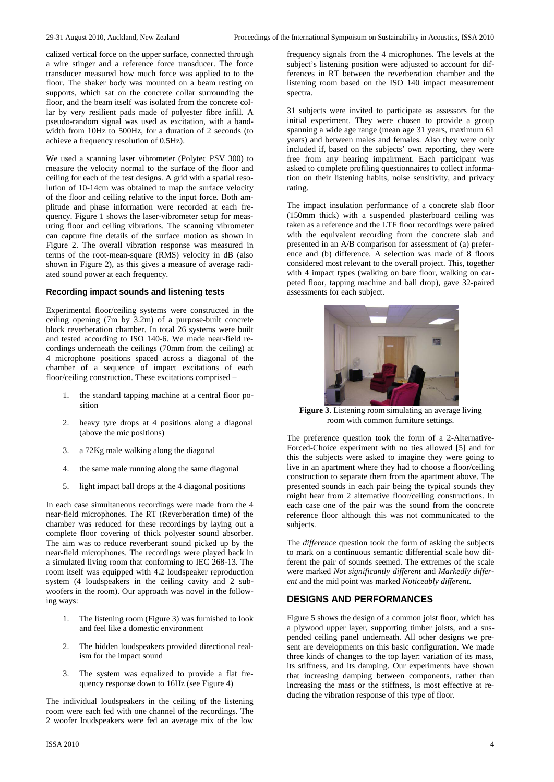calized vertical force on the upper surface, connected through a wire stinger and a reference force transducer. The force transducer measured how much force was applied to to the floor. The shaker body was mounted on a beam resting on supports, which sat on the concrete collar surrounding the floor, and the beam itself was isolated from the concrete collar by very resilient pads made of polyester fibre infill. A pseudo-random signal was used as excitation, with a bandwidth from 10Hz to 500Hz, for a duration of 2 seconds (to achieve a frequency resolution of 0.5Hz).

We used a scanning laser vibrometer (Polytec PSV 300) to measure the velocity normal to the surface of the floor and ceiling for each of the test designs. A grid with a spatial resolution of 10-14cm was obtained to map the surface velocity of the floor and ceiling relative to the input force. Both amplitude and phase information were recorded at each frequency. Figure 1 shows the laser-vibrometer setup for measuring floor and ceiling vibrations. The scanning vibrometer can capture fine details of the surface motion as shown in Figure 2. The overall vibration response was measured in terms of the root-mean-square (RMS) velocity in dB (also shown in Figure 2), as this gives a measure of average radiated sound power at each frequency.

#### **Recording impact sounds and listening tests**

Experimental floor/ceiling systems were constructed in the ceiling opening (7m by 3.2m) of a purpose-built concrete block reverberation chamber. In total 26 systems were built and tested according to ISO 140-6. We made near-field recordings underneath the ceilings (70mm from the ceiling) at 4 microphone positions spaced across a diagonal of the chamber of a sequence of impact excitations of each floor/ceiling construction. These excitations comprised –

- 1. the standard tapping machine at a central floor position
- 2. heavy tyre drops at 4 positions along a diagonal (above the mic positions)
- 3. a 72Kg male walking along the diagonal
- 4. the same male running along the same diagonal
- 5. light impact ball drops at the 4 diagonal positions

In each case simultaneous recordings were made from the 4 near-field microphones. The RT (Reverberation time) of the chamber was reduced for these recordings by laying out a complete floor covering of thick polyester sound absorber. The aim was to reduce reverberant sound picked up by the near-field microphones. The recordings were played back in a simulated living room that conforming to IEC 268-13. The room itself was equipped with 4.2 loudspeaker reproduction system (4 loudspeakers in the ceiling cavity and 2 subwoofers in the room). Our approach was novel in the following ways:

- 1. The listening room (Figure 3) was furnished to look and feel like a domestic environment
- 2. The hidden loudspeakers provided directional realism for the impact sound
- 3. The system was equalized to provide a flat frequency response down to 16Hz (see Figure 4)

The individual loudspeakers in the ceiling of the listening room were each fed with one channel of the recordings. The 2 woofer loudspeakers were fed an average mix of the low frequency signals from the 4 microphones. The levels at the subject's listening position were adjusted to account for differences in RT between the reverberation chamber and the listening room based on the ISO 140 impact measurement spectra.

31 subjects were invited to participate as assessors for the initial experiment. They were chosen to provide a group spanning a wide age range (mean age 31 years, maximum 61 years) and between males and females. Also they were only included if, based on the subjects' own reporting, they were free from any hearing impairment. Each participant was asked to complete profiling questionnaires to collect information on their listening habits, noise sensitivity, and privacy rating.

The impact insulation performance of a concrete slab floor (150mm thick) with a suspended plasterboard ceiling was taken as a reference and the LTF floor recordings were paired with the equivalent recording from the concrete slab and presented in an A/B comparison for assessment of (a) preference and (b) difference. A selection was made of 8 floors considered most relevant to the overall project. This, together with 4 impact types (walking on bare floor, walking on carpeted floor, tapping machine and ball drop), gave 32-paired assessments for each subject.



**Figure 3**. Listening room simulating an average living room with common furniture settings.

The preference question took the form of a 2-Alternative-Forced-Choice experiment with no ties allowed [5] and for this the subjects were asked to imagine they were going to live in an apartment where they had to choose a floor/ceiling construction to separate them from the apartment above. The presented sounds in each pair being the typical sounds they might hear from 2 alternative floor/ceiling constructions. In each case one of the pair was the sound from the concrete reference floor although this was not communicated to the subjects.

The *difference* question took the form of asking the subjects to mark on a continuous semantic differential scale how different the pair of sounds seemed. The extremes of the scale were marked *Not significantly different* and *Markedly different* and the mid point was marked *Noticeably different*.

#### **DESIGNS AND PERFORMANCES**

Figure 5 shows the design of a common joist floor, which has a plywood upper layer, supporting timber joists, and a suspended ceiling panel underneath. All other designs we present are developments on this basic configuration. We made three kinds of changes to the top layer: variation of its mass, its stiffness, and its damping. Our experiments have shown that increasing damping between components, rather than increasing the mass or the stiffness, is most effective at reducing the vibration response of this type of floor.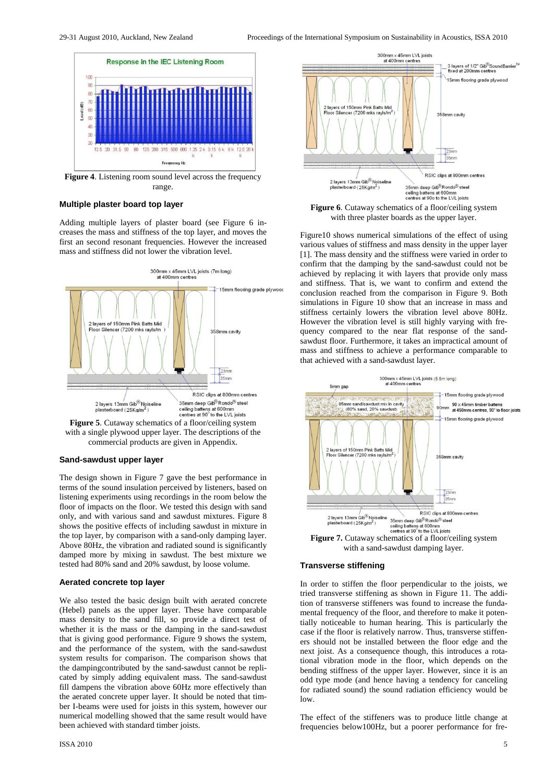

**Figure 4**. Listening room sound level across the frequency range.

#### **Multiple plaster board top layer**

Adding multiple layers of plaster board (see Figure 6 increases the mass and stiffness of the top layer, and moves the first an second resonant frequencies. However the increased mass and stiffness did not lower the vibration level.



**Figure 5**. Cutaway schematics of a floor/ceiling system with a single plywood upper layer. The descriptions of the commercial products are given in Appendix.

#### **Sand-sawdust upper layer**

The design shown in Figure 7 gave the best performance in terms of the sound insulation perceived by listeners, based on listening experiments using recordings in the room below the floor of impacts on the floor. We tested this design with sand only, and with various sand and sawdust mixtures. Figure 8 shows the positive effects of including sawdust in mixture in the top layer, by comparison with a sand-only damping layer. Above 80Hz, the vibration and radiated sound is significantly damped more by mixing in sawdust. The best mixture we tested had 80% sand and 20% sawdust, by loose volume.

#### **Aerated concrete top layer**

We also tested the basic design built with aerated concrete (Hebel) panels as the upper layer. These have comparable mass density to the sand fill, so provide a direct test of whether it is the mass or the damping in the sand-sawdust that is giving good performance. Figure 9 shows the system, and the performance of the system, with the sand-sawdust system results for comparison. The comparison shows that the dampingcontributed by the sand-sawdust cannot be replicated by simply adding equivalent mass. The sand-sawdust fill dampens the vibration above 60Hz more effectively than the aerated concrete upper layer. It should be noted that timber I-beams were used for joists in this system, however our numerical modelling showed that the same result would have been achieved with standard timber joists.



Figure 6. Cutaway schematics of a floor/ceiling system with three plaster boards as the upper layer.

Figure10 shows numerical simulations of the effect of using various values of stiffness and mass density in the upper layer [1]. The mass density and the stiffness were varied in order to confirm that the damping by the sand-sawdust could not be achieved by replacing it with layers that provide only mass and stiffness. That is, we want to confirm and extend the conclusion reached from the comparison in Figure 9. Both simulations in Figure 10 show that an increase in mass and stiffness certainly lowers the vibration level above 80Hz. However the vibration level is still highly varying with frequency compared to the near flat response of the sandsawdust floor. Furthermore, it takes an impractical amount of mass and stiffness to achieve a performance comparable to that achieved with a sand-sawdust layer.



#### **Transverse stiffening**

In order to stiffen the floor perpendicular to the joists, we tried transverse stiffening as shown in Figure 11. The addition of transverse stiffeners was found to increase the fundamental frequency of the floor, and therefore to make it potentially noticeable to human hearing. This is particularly the case if the floor is relatively narrow. Thus, transverse stiffeners should not be installed between the floor edge and the next joist. As a consequence though, this introduces a rotational vibration mode in the floor, which depends on the bending stiffness of the upper layer. However, since it is an odd type mode (and hence having a tendency for canceling for radiated sound) the sound radiation efficiency would be low.

The effect of the stiffeners was to produce little change at frequencies below100Hz, but a poorer performance for fre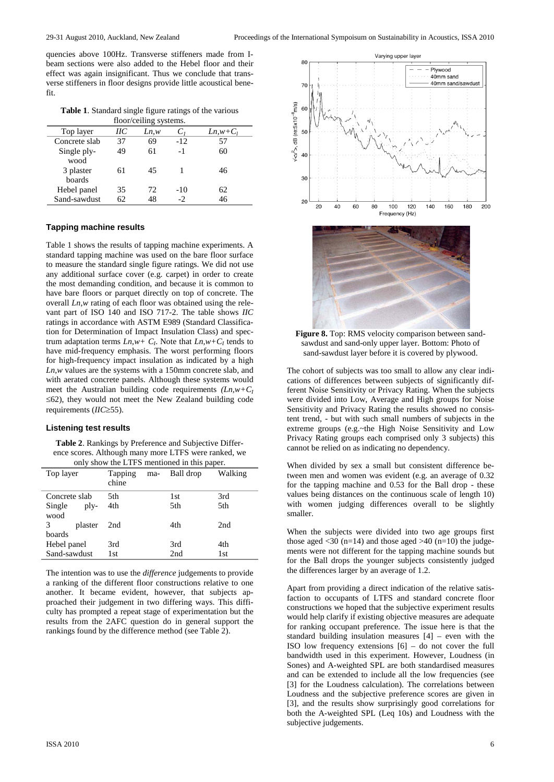quencies above 100Hz. Transverse stiffeners made from Ibeam sections were also added to the Hebel floor and their effect was again insignificant. Thus we conclude that transverse stiffeners in floor designs provide little acoustical benefit.

**Table 1**. Standard single figure ratings of the various

| floor/ceiling systems. |    |       |                |               |  |  |
|------------------------|----|-------|----------------|---------------|--|--|
| Top layer              | HС | Ln, w | C <sub>1</sub> | $Ln, w + C_1$ |  |  |
| Concrete slab          | 37 | 69    | $-12$          | 57            |  |  |
| Single ply-            | 49 | 61    | $-1$           | 60            |  |  |
| wood                   |    |       |                |               |  |  |
| 3 plaster              | 61 | 45    |                | 46            |  |  |
| boards                 |    |       |                |               |  |  |
| Hebel panel            | 35 | 72    | $-10$          | 62            |  |  |
| Sand-sawdust           | 62 | 48    | $-2$           | 46            |  |  |

#### **Tapping machine results**

Table 1 shows the results of tapping machine experiments. A standard tapping machine was used on the bare floor surface to measure the standard single figure ratings. We did not use any additional surface cover (e.g. carpet) in order to create the most demanding condition, and because it is common to have bare floors or parquet directly on top of concrete. The overall *Ln,w* rating of each floor was obtained using the relevant part of ISO 140 and ISO 717-2. The table shows *IIC* ratings in accordance with ASTM E989 (Standard Classification for Determination of Impact Insulation Class) and spectrum adaptation terms  $Ln, w + C_I$ . Note that  $Ln, w + C_I$  tends to have mid-frequency emphasis. The worst performing floors for high-frequency impact insulation as indicated by a high *Ln,w* values are the systems with a 150mm concrete slab, and with aerated concrete panels. Although these systems would meet the Australian building code requirements *(Ln,w+CI* ≤62), they would not meet the New Zealand building code requirements (*IIC*≥55).

#### **Listening test results**

**Table 2**. Rankings by Preference and Subjective Difference scores. Although many more LTFS were ranked, we only show the LTFS mentioned in this paper.

| Tapping<br>chine | ma- | Ball drop | Walking |
|------------------|-----|-----------|---------|
| 5th              |     | 1st       | 3rd     |
| 4th              |     | 5th       | 5th     |
|                  |     |           |         |
| 2nd              |     | 4th       | 2nd     |
|                  |     |           |         |
| 3rd              |     | 3rd       | 4th     |
| 1st              |     | 2nd       | 1st     |
|                  |     |           |         |

The intention was to use the *difference* judgements to provide a ranking of the different floor constructions relative to one another. It became evident, however, that subjects approached their judgement in two differing ways. This difficulty has prompted a repeat stage of experimentation but the results from the 2AFC question do in general support the rankings found by the difference method (see Table 2).





**Figure 8.** Top: RMS velocity comparison between sandsawdust and sand-only upper layer. Bottom: Photo of sand-sawdust layer before it is covered by plywood.

The cohort of subjects was too small to allow any clear indications of differences between subjects of significantly different Noise Sensitivity or Privacy Rating. When the subjects were divided into Low, Average and High groups for Noise Sensitivity and Privacy Rating the results showed no consistent trend, - but with such small numbers of subjects in the extreme groups (e.g.~the High Noise Sensitivity and Low Privacy Rating groups each comprised only 3 subjects) this cannot be relied on as indicating no dependency.

When divided by sex a small but consistent difference between men and women was evident (e.g. an average of 0.32 for the tapping machine and 0.53 for the Ball drop - these values being distances on the continuous scale of length 10) with women judging differences overall to be slightly smaller.

When the subjects were divided into two age groups first those aged  $\langle 30 \rangle$  (n=14) and those aged  $>40 \rangle$  (n=10) the judgements were not different for the tapping machine sounds but for the Ball drops the younger subjects consistently judged the differences larger by an average of 1.2.

Apart from providing a direct indication of the relative satisfaction to occupants of LTFS and standard concrete floor constructions we hoped that the subjective experiment results would help clarify if existing objective measures are adequate for ranking occupant preference. The issue here is that the standard building insulation measures [4] – even with the ISO low frequency extensions  $[6]$  – do not cover the full bandwidth used in this experiment. However, Loudness (in Sones) and A-weighted SPL are both standardised measures and can be extended to include all the low frequencies (see [3] for the Loudness calculation). The correlations between Loudness and the subjective preference scores are given in [3], and the results show surprisingly good correlations for both the A-weighted SPL (Leq 10s) and Loudness with the subjective judgements.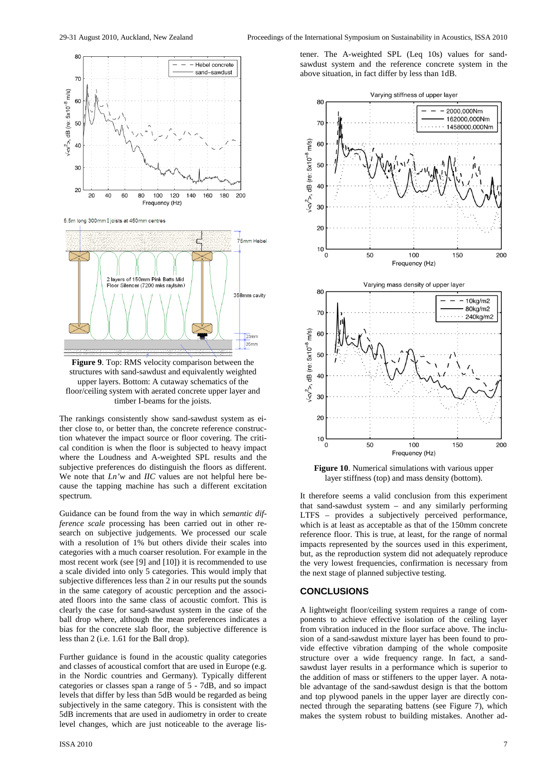

5.5m long 300mm I joists at 450mm centres



**Figure 9**. Top: RMS velocity comparison between the structures with sand-sawdust and equivalently weighted upper layers. Bottom: A cutaway schematics of the floor/ceiling system with aerated concrete upper layer and timber I-beams for the joists.

The rankings consistently show sand-sawdust system as either close to, or better than, the concrete reference construction whatever the impact source or floor covering. The critical condition is when the floor is subjected to heavy impact where the Loudness and A-weighted SPL results and the subjective preferences do distinguish the floors as different. We note that *Ln'w* and *IIC* values are not helpful here because the tapping machine has such a different excitation spectrum.

Guidance can be found from the way in which *semantic difference scale* processing has been carried out in other research on subjective judgements. We processed our scale with a resolution of 1% but others divide their scales into categories with a much coarser resolution. For example in the most recent work (see [9] and [10]) it is recommended to use a scale divided into only 5 categories. This would imply that subjective differences less than 2 in our results put the sounds in the same category of acoustic perception and the associated floors into the same class of acoustic comfort. This is clearly the case for sand-sawdust system in the case of the ball drop where, although the mean preferences indicates a bias for the concrete slab floor, the subjective difference is less than 2 (i.e. 1.61 for the Ball drop).

Further guidance is found in the acoustic quality categories and classes of acoustical comfort that are used in Europe (e.g. in the Nordic countries and Germany). Typically different categories or classes span a range of 5 - 7dB, and so impact levels that differ by less than 5dB would be regarded as being subjectively in the same category. This is consistent with the 5dB increments that are used in audiometry in order to create level changes, which are just noticeable to the average lis-

tener. The A-weighted SPL (Leq 10s) values for sandsawdust system and the reference concrete system in the above situation, in fact differ by less than 1dB.



**Figure 10**. Numerical simulations with various upper layer stiffness (top) and mass density (bottom).

It therefore seems a valid conclusion from this experiment that sand-sawdust system – and any similarly performing LTFS – provides a subjectively perceived performance, which is at least as acceptable as that of the 150mm concrete reference floor. This is true, at least, for the range of normal impacts represented by the sources used in this experiment, but, as the reproduction system did not adequately reproduce the very lowest frequencies, confirmation is necessary from the next stage of planned subjective testing.

#### **CONCLUSIONS**

A lightweight floor/ceiling system requires a range of components to achieve effective isolation of the ceiling layer from vibration induced in the floor surface above. The inclusion of a sand-sawdust mixture layer has been found to provide effective vibration damping of the whole composite structure over a wide frequency range. In fact, a sandsawdust layer results in a performance which is superior to the addition of mass or stiffeners to the upper layer. A notable advantage of the sand-sawdust design is that the bottom and top plywood panels in the upper layer are directly connected through the separating battens (see Figure 7), which makes the system robust to building mistakes. Another ad